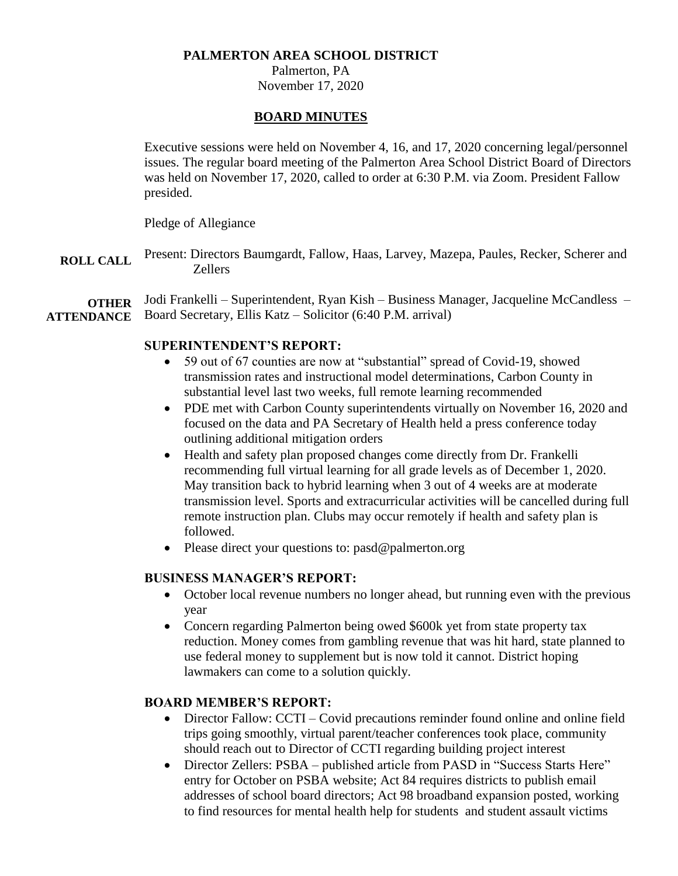## **PALMERTON AREA SCHOOL DISTRICT**

Palmerton, PA November 17, 2020

### **BOARD MINUTES**

Executive sessions were held on November 4, 16, and 17, 2020 concerning legal/personnel issues. The regular board meeting of the Palmerton Area School District Board of Directors was held on November 17, 2020, called to order at 6:30 P.M. via Zoom. President Fallow presided.

Pledge of Allegiance

**ROLL CALL** Present: Directors Baumgardt, Fallow, Haas, Larvey, Mazepa, Paules, Recker, Scherer and Zellers

**OTHER ATTENDANCE** Jodi Frankelli – Superintendent, Ryan Kish – Business Manager, Jacqueline McCandless – Board Secretary, Ellis Katz – Solicitor (6:40 P.M. arrival)

### **SUPERINTENDENT'S REPORT:**

- 59 out of 67 counties are now at "substantial" spread of Covid-19, showed transmission rates and instructional model determinations, Carbon County in substantial level last two weeks, full remote learning recommended
- PDE met with Carbon County superintendents virtually on November 16, 2020 and focused on the data and PA Secretary of Health held a press conference today outlining additional mitigation orders
- Health and safety plan proposed changes come directly from Dr. Frankelli recommending full virtual learning for all grade levels as of December 1, 2020. May transition back to hybrid learning when 3 out of 4 weeks are at moderate transmission level. Sports and extracurricular activities will be cancelled during full remote instruction plan. Clubs may occur remotely if health and safety plan is followed.
- Please direct your questions to: pasd@palmerton.org

## **BUSINESS MANAGER'S REPORT:**

- October local revenue numbers no longer ahead, but running even with the previous year
- Concern regarding Palmerton being owed \$600k yet from state property tax reduction. Money comes from gambling revenue that was hit hard, state planned to use federal money to supplement but is now told it cannot. District hoping lawmakers can come to a solution quickly.

#### **BOARD MEMBER'S REPORT:**

- Director Fallow: CCTI Covid precautions reminder found online and online field trips going smoothly, virtual parent/teacher conferences took place, community should reach out to Director of CCTI regarding building project interest
- Director Zellers: PSBA published article from PASD in "Success Starts Here" entry for October on PSBA website; Act 84 requires districts to publish email addresses of school board directors; Act 98 broadband expansion posted, working to find resources for mental health help for students and student assault victims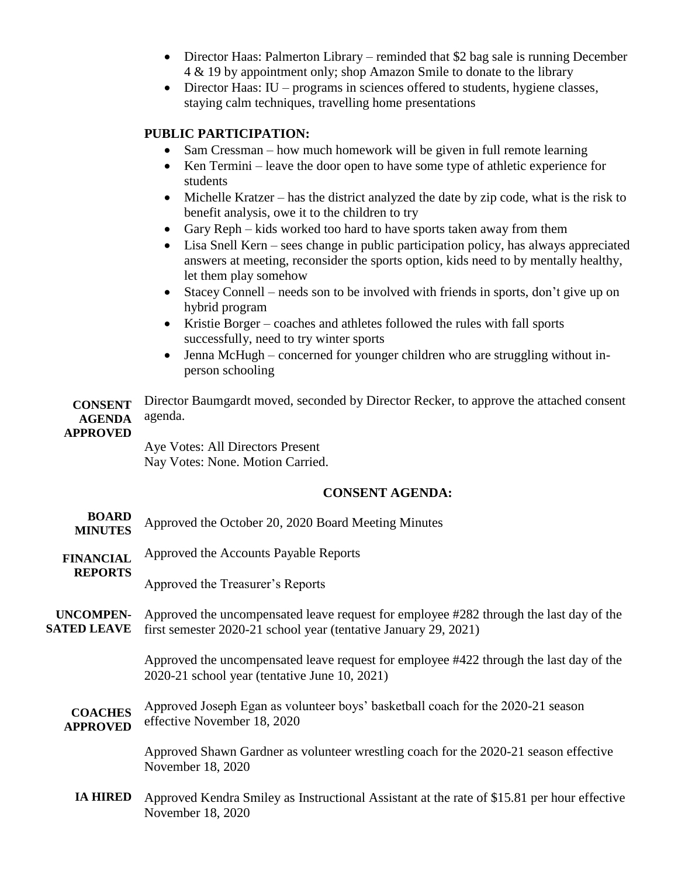- Director Haas: Palmerton Library reminded that \$2 bag sale is running December 4 & 19 by appointment only; shop Amazon Smile to donate to the library
- Director Haas: IU programs in sciences offered to students, hygiene classes, staying calm techniques, travelling home presentations

## **PUBLIC PARTICIPATION:**

- Sam Cressman how much homework will be given in full remote learning
- Ken Termini leave the door open to have some type of athletic experience for students
- $\bullet$  Michelle Kratzer has the district analyzed the date by zip code, what is the risk to benefit analysis, owe it to the children to try
- Gary Reph kids worked too hard to have sports taken away from them
- Lisa Snell Kern sees change in public participation policy, has always appreciated answers at meeting, reconsider the sports option, kids need to by mentally healthy, let them play somehow
- Stacey Connell needs son to be involved with friends in sports, don't give up on hybrid program
- Kristie Borger coaches and athletes followed the rules with fall sports successfully, need to try winter sports
- Jenna McHugh concerned for younger children who are struggling without inperson schooling

**CONSENT AGENDA**  Director Baumgardt moved, seconded by Director Recker, to approve the attached consent agenda.

### **APPROVED**

Aye Votes: All Directors Present Nay Votes: None. Motion Carried.

# **CONSENT AGENDA:**

- **BOARD MINUTES** Approved the October 20, 2020 Board Meeting Minutes
- **FINANCIAL**  Approved the Accounts Payable Reports
- **REPORTS**

Approved the Treasurer's Reports

**UNCOMPEN-SATED LEAVE** Approved the uncompensated leave request for employee #282 through the last day of the first semester 2020-21 school year (tentative January 29, 2021)

> Approved the uncompensated leave request for employee #422 through the last day of the 2020-21 school year (tentative June 10, 2021)

**COACHES APPROVED** Approved Joseph Egan as volunteer boys' basketball coach for the 2020-21 season effective November 18, 2020

> Approved Shawn Gardner as volunteer wrestling coach for the 2020-21 season effective November 18, 2020

**IA HIRED** Approved Kendra Smiley as Instructional Assistant at the rate of \$15.81 per hour effective November 18, 2020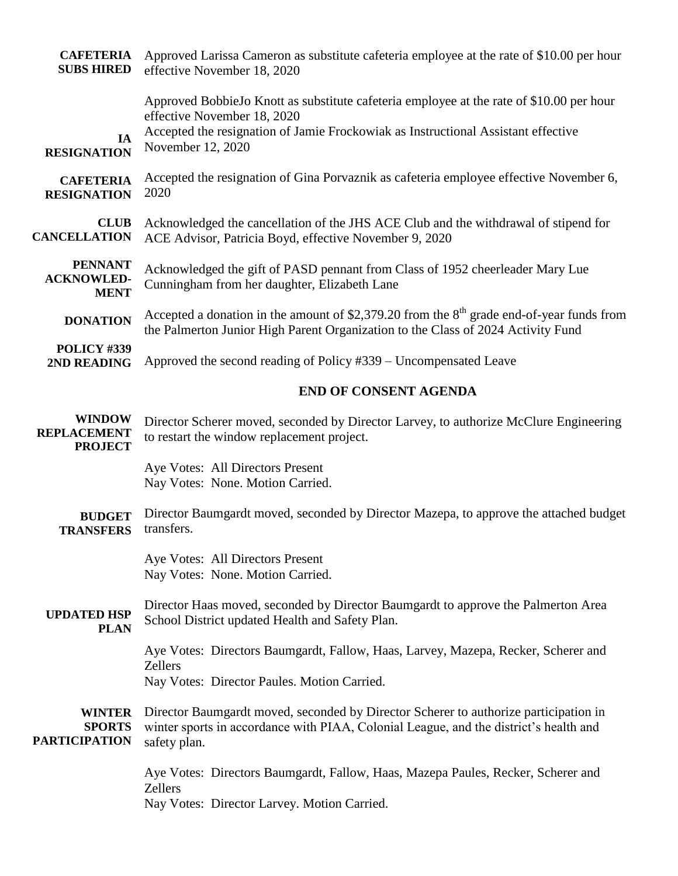| <b>CAFETERIA</b><br><b>SUBS HIRED</b>                  | Approved Larissa Cameron as substitute cafeteria employee at the rate of \$10.00 per hour<br>effective November 18, 2020                                                                                                          |
|--------------------------------------------------------|-----------------------------------------------------------------------------------------------------------------------------------------------------------------------------------------------------------------------------------|
| IA<br><b>RESIGNATION</b>                               | Approved BobbieJo Knott as substitute cafeteria employee at the rate of \$10.00 per hour<br>effective November 18, 2020<br>Accepted the resignation of Jamie Frockowiak as Instructional Assistant effective<br>November 12, 2020 |
| <b>CAFETERIA</b><br><b>RESIGNATION</b>                 | Accepted the resignation of Gina Porvaznik as cafeteria employee effective November 6,<br>2020                                                                                                                                    |
| <b>CLUB</b><br><b>CANCELLATION</b>                     | Acknowledged the cancellation of the JHS ACE Club and the withdrawal of stipend for<br>ACE Advisor, Patricia Boyd, effective November 9, 2020                                                                                     |
| <b>PENNANT</b><br><b>ACKNOWLED-</b><br><b>MENT</b>     | Acknowledged the gift of PASD pennant from Class of 1952 cheerleader Mary Lue<br>Cunningham from her daughter, Elizabeth Lane                                                                                                     |
| <b>DONATION</b>                                        | Accepted a donation in the amount of \$2,379.20 from the $8th$ grade end-of-year funds from<br>the Palmerton Junior High Parent Organization to the Class of 2024 Activity Fund                                                   |
| POLICY #339<br>2ND READING                             | Approved the second reading of Policy #339 – Uncompensated Leave                                                                                                                                                                  |
|                                                        | <b>END OF CONSENT AGENDA</b>                                                                                                                                                                                                      |
| <b>WINDOW</b><br><b>REPLACEMENT</b><br><b>PROJECT</b>  | Director Scherer moved, seconded by Director Larvey, to authorize McClure Engineering<br>to restart the window replacement project.                                                                                               |
|                                                        | Aye Votes: All Directors Present<br>Nay Votes: None. Motion Carried.                                                                                                                                                              |
| <b>BUDGET</b><br><b>TRANSFERS</b>                      | Director Baumgardt moved, seconded by Director Mazepa, to approve the attached budget<br>transfers.                                                                                                                               |
|                                                        | Aye Votes: All Directors Present<br>Nay Votes: None. Motion Carried.                                                                                                                                                              |
| <b>UPDATED HSP</b><br><b>PLAN</b>                      | Director Haas moved, seconded by Director Baumgardt to approve the Palmerton Area<br>School District updated Health and Safety Plan.                                                                                              |
|                                                        | Aye Votes: Directors Baumgardt, Fallow, Haas, Larvey, Mazepa, Recker, Scherer and<br><b>Zellers</b><br>Nay Votes: Director Paules. Motion Carried.                                                                                |
| <b>WINTER</b><br><b>SPORTS</b><br><b>PARTICIPATION</b> | Director Baumgardt moved, seconded by Director Scherer to authorize participation in<br>winter sports in accordance with PIAA, Colonial League, and the district's health and<br>safety plan.                                     |
|                                                        | Aye Votes: Directors Baumgardt, Fallow, Haas, Mazepa Paules, Recker, Scherer and<br>Zellers<br>Nay Votes: Director Larvey. Motion Carried.                                                                                        |